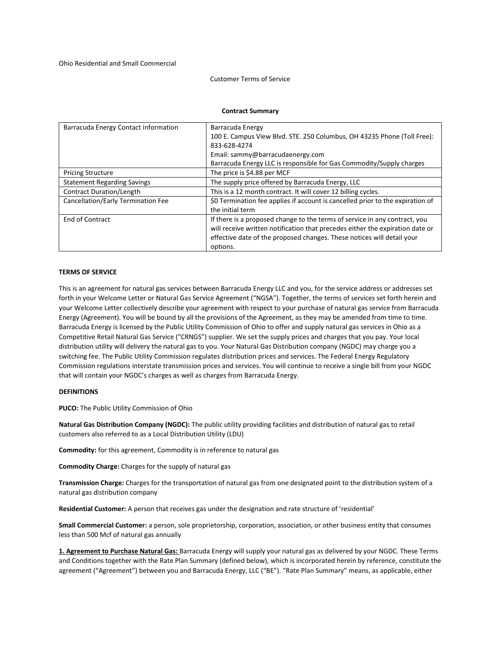### Customer Terms of Service

#### **Contract Summary**

| Barracuda Energy Contact information | Barracuda Energy<br>100 E. Campus View Blvd. STE. 250 Columbus, OH 43235 Phone (Toll Free):<br>833-628-4274<br>Email: sammy@barracudaenergy.com                                                                                                   |
|--------------------------------------|---------------------------------------------------------------------------------------------------------------------------------------------------------------------------------------------------------------------------------------------------|
|                                      | Barracuda Energy LLC is responsible for Gas Commodity/Supply charges                                                                                                                                                                              |
| <b>Pricing Structure</b>             | The price is \$4.88 per MCF                                                                                                                                                                                                                       |
| <b>Statement Regarding Savings</b>   | The supply price offered by Barracuda Energy, LLC                                                                                                                                                                                                 |
| Contract Duration/Length             | This is a 12 month contract. It will cover 12 billing cycles.                                                                                                                                                                                     |
| Cancellation/Early Termination Fee   | \$0 Termination fee applies if account is cancelled prior to the expiration of<br>the initial term                                                                                                                                                |
| End of Contract                      | If there is a proposed change to the terms of service in any contract, you<br>will receive written notification that precedes either the expiration date or<br>effective date of the proposed changes. These notices will detail your<br>options. |

## **TERMS OF SERVICE**

This is an agreement for natural gas services between Barracuda Energy LLC and you, for the service address or addresses set forth in your Welcome Letter or Natural Gas Service Agreement ("NGSA"). Together, the terms of services set forth herein and your Welcome Letter collectively describe your agreement with respect to your purchase of natural gas service from Barracuda Energy (Agreement). You will be bound by all the provisions of the Agreement, as they may be amended from time to time. Barracuda Energy is licensed by the Public Utility Commission of Ohio to offer and supply natural gas services in Ohio as a Competitive Retail Natural Gas Service ("CRNGS") supplier. We set the supply prices and charges that you pay. Your local distribution utility will delivery the natural gas to you. Your Natural Gas Distribution company (NGDC) may charge you a switching fee. The Public Utility Commission regulates distribution prices and services. The Federal Energy Regulatory Commission regulations interstate transmission prices and services. You will continue to receive a single bill from your NGDC that will contain your NGDC's charges as well as charges from Barracuda Energy.

#### **DEFINITIONS**

**PUCO:** The Public Utility Commission of Ohio

**Natural Gas Distribution Company (NGDC):** The public utility providing facilities and distribution of natural gas to retail customers also referred to as a Local Distribution Utility (LDU)

**Commodity:** for this agreement, Commodity is in reference to natural gas

**Commodity Charge:** Charges for the supply of natural gas

**Transmission Charge:** Charges for the transportation of natural gas from one designated point to the distribution system of a natural gas distribution company

**Residential Customer:** A person that receives gas under the designation and rate structure of 'residential'

**Small Commercial Customer:** a person, sole proprietorship, corporation, association, or other business entity that consumes less than 500 Mcf of natural gas annually

**1. Agreement to Purchase Natural Gas:** Barracuda Energy will supply your natural gas as delivered by your NGDC. These Terms and Conditions together with the Rate Plan Summary (defined below), which is incorporated herein by reference, constitute the agreement ("Agreement") between you and Barracuda Energy, LLC ("BE"). "Rate Plan Summary" means, as applicable, either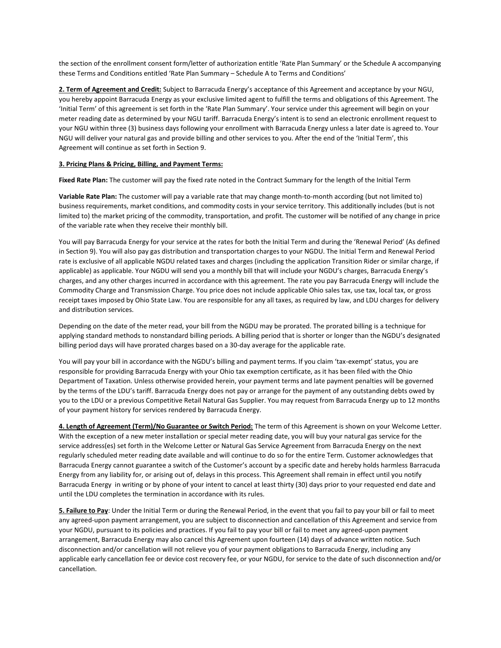the section of the enrollment consent form/letter of authorization entitle 'Rate Plan Summary' or the Schedule A accompanying these Terms and Conditions entitled 'Rate Plan Summary – Schedule A to Terms and Conditions'

**2. Term of Agreement and Credit:** Subject to Barracuda Energy's acceptance of this Agreement and acceptance by your NGU, you hereby appoint Barracuda Energy as your exclusive limited agent to fulfill the terms and obligations of this Agreement. The 'Initial Term' of this agreement is set forth in the 'Rate Plan Summary'. Your service under this agreement will begin on your meter reading date as determined by your NGU tariff. Barracuda Energy's intent is to send an electronic enrollment request to your NGU within three (3) business days following your enrollment with Barracuda Energy unless a later date is agreed to. Your NGU will deliver your natural gas and provide billing and other services to you. After the end of the 'Initial Term', this Agreement will continue as set forth in Section 9.

# **3. Pricing Plans & Pricing, Billing, and Payment Terms:**

**Fixed Rate Plan:** The customer will pay the fixed rate noted in the Contract Summary for the length of the Initial Term

**Variable Rate Plan:** The customer will pay a variable rate that may change month-to-month according (but not limited to) business requirements, market conditions, and commodity costs in your service territory. This additionally includes (but is not limited to) the market pricing of the commodity, transportation, and profit. The customer will be notified of any change in price of the variable rate when they receive their monthly bill.

You will pay Barracuda Energy for your service at the rates for both the Initial Term and during the 'Renewal Period' (As defined in Section 9). You will also pay gas distribution and transportation charges to your NGDU. The Initial Term and Renewal Period rate is exclusive of all applicable NGDU related taxes and charges (including the application Transition Rider or similar charge, if applicable) as applicable. Your NGDU will send you a monthly bill that will include your NGDU's charges, Barracuda Energy's charges, and any other charges incurred in accordance with this agreement. The rate you pay Barracuda Energy will include the Commodity Charge and Transmission Charge. You price does not include applicable Ohio sales tax, use tax, local tax, or gross receipt taxes imposed by Ohio State Law. You are responsible for any all taxes, as required by law, and LDU charges for delivery and distribution services.

Depending on the date of the meter read, your bill from the NGDU may be prorated. The prorated billing is a technique for applying standard methods to nonstandard billing periods. A billing period that is shorter or longer than the NGDU's designated billing period days will have prorated charges based on a 30-day average for the applicable rate.

You will pay your bill in accordance with the NGDU's billing and payment terms. If you claim 'tax-exempt' status, you are responsible for providing Barracuda Energy with your Ohio tax exemption certificate, as it has been filed with the Ohio Department of Taxation. Unless otherwise provided herein, your payment terms and late payment penalties will be governed by the terms of the LDU's tariff. Barracuda Energy does not pay or arrange for the payment of any outstanding debts owed by you to the LDU or a previous Competitive Retail Natural Gas Supplier. You may request from Barracuda Energy up to 12 months of your payment history for services rendered by Barracuda Energy.

**4. Length of Agreement (Term)/No Guarantee or Switch Period:** The term of this Agreement is shown on your Welcome Letter. With the exception of a new meter installation or special meter reading date, you will buy your natural gas service for the service address(es) set forth in the Welcome Letter or Natural Gas Service Agreement from Barracuda Energy on the next regularly scheduled meter reading date available and will continue to do so for the entire Term. Customer acknowledges that Barracuda Energy cannot guarantee a switch of the Customer's account by a specific date and hereby holds harmless Barracuda Energy from any liability for, or arising out of, delays in this process. This Agreement shall remain in effect until you notify Barracuda Energy in writing or by phone of your intent to cancel at least thirty (30) days prior to your requested end date and until the LDU completes the termination in accordance with its rules.

**5. Failure to Pay**: Under the Initial Term or during the Renewal Period, in the event that you fail to pay your bill or fail to meet any agreed-upon payment arrangement, you are subject to disconnection and cancellation of this Agreement and service from your NGDU, pursuant to its policies and practices. If you fail to pay your bill or fail to meet any agreed-upon payment arrangement, Barracuda Energy may also cancel this Agreement upon fourteen (14) days of advance written notice. Such disconnection and/or cancellation will not relieve you of your payment obligations to Barracuda Energy, including any applicable early cancellation fee or device cost recovery fee, or your NGDU, for service to the date of such disconnection and/or cancellation.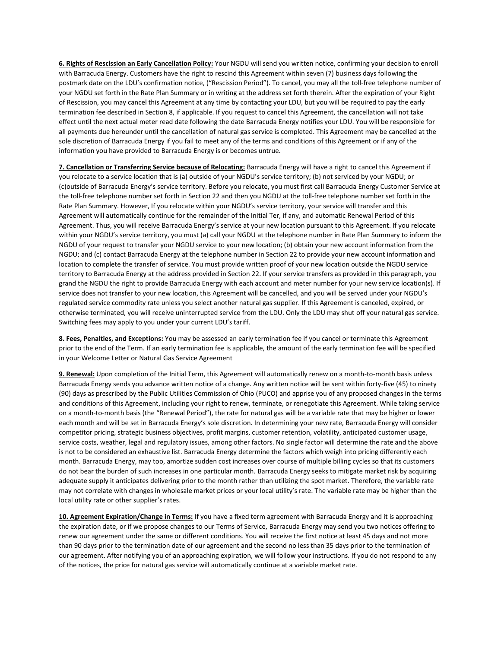**6. Rights of Rescission an Early Cancellation Policy:** Your NGDU will send you written notice, confirming your decision to enroll with Barracuda Energy. Customers have the right to rescind this Agreement within seven (7) business days following the postmark date on the LDU's confirmation notice, ("Rescission Period"). To cancel, you may all the toll-free telephone number of your NGDU set forth in the Rate Plan Summary or in writing at the address set forth therein. After the expiration of your Right of Rescission, you may cancel this Agreement at any time by contacting your LDU, but you will be required to pay the early termination fee described in Section 8, if applicable. If you request to cancel this Agreement, the cancellation will not take effect until the next actual meter read date following the date Barracuda Energy notifies your LDU. You will be responsible for all payments due hereunder until the cancellation of natural gas service is completed. This Agreement may be cancelled at the sole discretion of Barracuda Energy if you fail to meet any of the terms and conditions of this Agreement or if any of the information you have provided to Barracuda Energy is or becomes untrue.

**7. Cancellation or Transferring Service because of Relocating:** Barracuda Energy will have a right to cancel this Agreement if you relocate to a service location that is (a) outside of your NGDU's service territory; (b) not serviced by your NGDU; or (c)outside of Barracuda Energy's service territory. Before you relocate, you must first call Barracuda Energy Customer Service at the toll-free telephone number set forth in Section 22 and then you NGDU at the toll-free telephone number set forth in the Rate Plan Summary. However, If you relocate within your NGDU's service territory, your service will transfer and this Agreement will automatically continue for the remainder of the Initial Ter, if any, and automatic Renewal Period of this Agreement. Thus, you will receive Barracuda Energy's service at your new location pursuant to this Agreement. If you relocate within your NGDU's service territory, you must (a) call your NGDU at the telephone number in Rate Plan Summary to inform the NGDU of your request to transfer your NGDU service to your new location; (b) obtain your new account information from the NGDU; and (c) contact Barracuda Energy at the telephone number in Section 22 to provide your new account information and location to complete the transfer of service. You must provide written proof of your new location outside the NGDU service territory to Barracuda Energy at the address provided in Section 22. If your service transfers as provided in this paragraph, you grand the NGDU the right to provide Barracuda Energy with each account and meter number for your new service location(s). If service does not transfer to your new location, this Agreement will be cancelled, and you will be served under your NGDU's regulated service commodity rate unless you select another natural gas supplier. If this Agreement is canceled, expired, or otherwise terminated, you will receive uninterrupted service from the LDU. Only the LDU may shut off your natural gas service. Switching fees may apply to you under your current LDU's tariff.

**8. Fees, Penalties, and Exceptions:** You may be assessed an early termination fee if you cancel or terminate this Agreement prior to the end of the Term. If an early termination fee is applicable, the amount of the early termination fee will be specified in your Welcome Letter or Natural Gas Service Agreement

**9. Renewal:** Upon completion of the Initial Term, this Agreement will automatically renew on a month-to-month basis unless Barracuda Energy sends you advance written notice of a change. Any written notice will be sent within forty-five (45) to ninety (90) days as prescribed by the Public Utilities Commission of Ohio (PUCO) and apprise you of any proposed changes in the terms and conditions of this Agreement, including your right to renew, terminate, or renegotiate this Agreement. While taking service on a month-to-month basis (the "Renewal Period"), the rate for natural gas will be a variable rate that may be higher or lower each month and will be set in Barracuda Energy's sole discretion. In determining your new rate, Barracuda Energy will consider competitor pricing, strategic business objectives, profit margins, customer retention, volatility, anticipated customer usage, service costs, weather, legal and regulatory issues, among other factors. No single factor will determine the rate and the above is not to be considered an exhaustive list. Barracuda Energy determine the factors which weigh into pricing differently each month. Barracuda Energy, may too, amortize sudden cost increases over course of multiple billing cycles so that its customers do not bear the burden of such increases in one particular month. Barracuda Energy seeks to mitigate market risk by acquiring adequate supply it anticipates delivering prior to the month rather than utilizing the spot market. Therefore, the variable rate may not correlate with changes in wholesale market prices or your local utility's rate. The variable rate may be higher than the local utility rate or other supplier's rates.

**10. Agreement Expiration/Change in Terms:** If you have a fixed term agreement with Barracuda Energy and it is approaching the expiration date, or if we propose changes to our Terms of Service, Barracuda Energy may send you two notices offering to renew our agreement under the same or different conditions. You will receive the first notice at least 45 days and not more than 90 days prior to the termination date of our agreement and the second no less than 35 days prior to the termination of our agreement. After notifying you of an approaching expiration, we will follow your instructions. If you do not respond to any of the notices, the price for natural gas service will automatically continue at a variable market rate.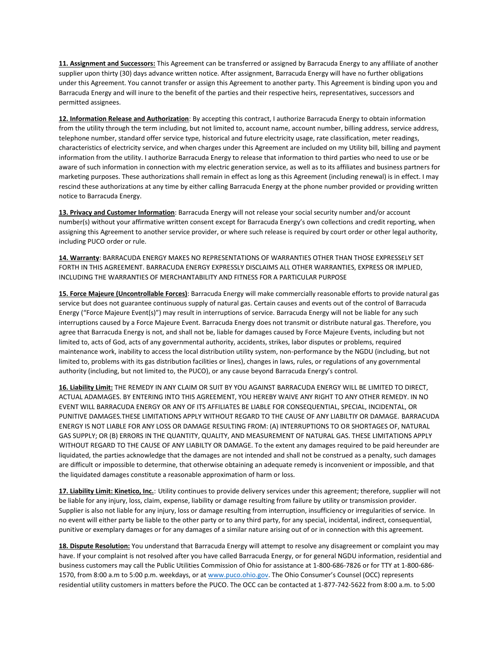**11. Assignment and Successors:** This Agreement can be transferred or assigned by Barracuda Energy to any affiliate of another supplier upon thirty (30) days advance written notice. After assignment, Barracuda Energy will have no further obligations under this Agreement. You cannot transfer or assign this Agreement to another party. This Agreement is binding upon you and Barracuda Energy and will inure to the benefit of the parties and their respective heirs, representatives, successors and permitted assignees.

**12. Information Release and Authorization**: By accepting this contract, I authorize Barracuda Energy to obtain information from the utility through the term including, but not limited to, account name, account number, billing address, service address, telephone number, standard offer service type, historical and future electricity usage, rate classification, meter readings, characteristics of electricity service, and when charges under this Agreement are included on my Utility bill, billing and payment information from the utility. I authorize Barracuda Energy to release that information to third parties who need to use or be aware of such information in connection with my electric generation service, as well as to its affiliates and business partners for marketing purposes. These authorizations shall remain in effect as long as this Agreement (including renewal) is in effect. I may rescind these authorizations at any time by either calling Barracuda Energy at the phone number provided or providing written notice to Barracuda Energy.

**13. Privacy and Customer Information**: Barracuda Energy will not release your social security number and/or account number(s) without your affirmative written consent except for Barracuda Energy's own collections and credit reporting, when assigning this Agreement to another service provider, or where such release is required by court order or other legal authority, including PUCO order or rule.

**14. Warranty**: BARRACUDA ENERGY MAKES NO REPRESENTATIONS OF WARRANTIES OTHER THAN THOSE EXPRESSELY SET FORTH IN THIS AGREEMENT. BARRACUDA ENERGY EXPRESSLY DISCLAIMS ALL OTHER WARRANTIES, EXPRESS OR IMPLIED, INCLUDING THE WARRANTIES OF MERCHANTABILITY AND FITNESS FOR A PARTICULAR PURPOSE

**15. Force Majeure (Uncontrollable Forces)**: Barracuda Energy will make commercially reasonable efforts to provide natural gas service but does not guarantee continuous supply of natural gas. Certain causes and events out of the control of Barracuda Energy ("Force Majeure Event(s)") may result in interruptions of service. Barracuda Energy will not be liable for any such interruptions caused by a Force Majeure Event. Barracuda Energy does not transmit or distribute natural gas. Therefore, you agree that Barracuda Energy is not, and shall not be, liable for damages caused by Force Majeure Events, including but not limited to, acts of God, acts of any governmental authority, accidents, strikes, labor disputes or problems, required maintenance work, inability to access the local distribution utility system, non-performance by the NGDU (including, but not limited to, problems with its gas distribution facilities or lines), changes in laws, rules, or regulations of any governmental authority (including, but not limited to, the PUCO), or any cause beyond Barracuda Energy's control.

**16. Liability Limit:** THE REMEDY IN ANY CLAIM OR SUIT BY YOU AGAINST BARRACUDA ENERGY WILL BE LIMITED TO DIRECT, ACTUAL ADAMAGES. BY ENTERING INTO THIS AGREEMENT, YOU HEREBY WAIVE ANY RIGHT TO ANY OTHER REMEDY. IN NO EVENT WILL BARRACUDA ENERGY OR ANY OF ITS AFFILIATES BE LIABLE FOR CONSEQUENTIAL, SPECIAL, INCIDENTAL, OR PUNITIVE DAMAGES.THESE LIMITATIONS APPLY WITHOUT REGARD TO THE CAUSE OF ANY LIABILTIY OR DAMAGE. BARRACUDA ENERGY IS NOT LIABLE FOR ANY LOSS OR DAMAGE RESULTING FROM: (A) INTERRUPTIONS TO OR SHORTAGES OF, NATURAL GAS SUPPLY; OR (B) ERRORS IN THE QUANTITY, QUALITY, AND MEASUREMENT OF NATURAL GAS. THESE LIMITATIONS APPLY WITHOUT REGARD TO THE CAUSE OF ANY LIABILTY OR DAMAGE. To the extent any damages required to be paid hereunder are liquidated, the parties acknowledge that the damages are not intended and shall not be construed as a penalty, such damages are difficult or impossible to determine, that otherwise obtaining an adequate remedy is inconvenient or impossible, and that the liquidated damages constitute a reasonable approximation of harm or loss.

**17. Liability Limit: Kinetico, Inc.**: Utility continues to provide delivery services under this agreement; therefore, supplier will not be liable for any injury, loss, claim, expense, liability or damage resulting from failure by utility or transmission provider. Supplier is also not liable for any injury, loss or damage resulting from interruption, insufficiency or irregularities of service. In no event will either party be liable to the other party or to any third party, for any special, incidental, indirect, consequential, punitive or exemplary damages or for any damages of a similar nature arising out of or in connection with this agreement.

**18. Dispute Resolution:** You understand that Barracuda Energy will attempt to resolve any disagreement or complaint you may have. If your complaint is not resolved after you have called Barracuda Energy, or for general NGDU information, residential and business customers may call the Public Utilities Commission of Ohio for assistance at 1-800-686-7826 or for TTY at 1-800-686- 1570, from 8:00 a.m to 5:00 p.m. weekdays, or a[t www.puco.ohio.gov](http://www.puco.ohio.gov/). The Ohio Consumer's Counsel (OCC) represents residential utility customers in matters before the PUCO. The OCC can be contacted at 1-877-742-5622 from 8:00 a.m. to 5:00